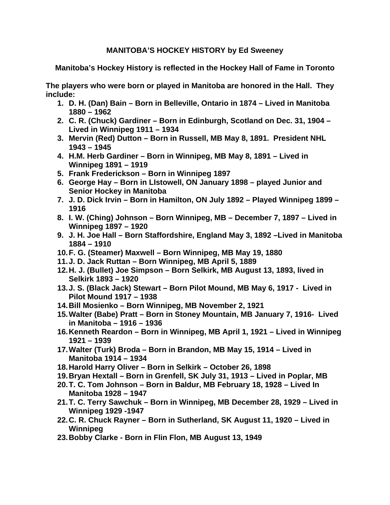# **MANITOBA'S HOCKEY HISTORY by Ed Sweeney**

**Manitoba's Hockey History is reflected in the Hockey Hall of Fame in Toronto** 

**The players who were born or played in Manitoba are honored in the Hall. They include:** 

- **1. D. H. (Dan) Bain Born in Belleville, Ontario in 1874 Lived in Manitoba 1880 – 1962**
- **2. C. R. (Chuck) Gardiner Born in Edinburgh, Scotland on Dec. 31, 1904 Lived in Winnipeg 1911 – 1934**
- **3. Mervin (Red) Dutton Born in Russell, MB May 8, 1891. President NHL 1943 – 1945**
- **4. H.M. Herb Gardiner Born in Winnipeg, MB May 8, 1891 Lived in Winnipeg 1891 – 1919**
- **5. Frank Frederickson Born in Winnipeg 1897**
- **6. George Hay Born in LIstowell, ON January 1898 played Junior and Senior Hockey in Manitoba**
- **7. J. D. Dick Irvin Born in Hamilton, ON July 1892 Played Winnipeg 1899 1916**
- **8. I. W. (Ching) Johnson Born Winnipeg, MB December 7, 1897 Lived in Winnipeg 1897 – 1920**
- **9. J. H. Joe Hall Born Staffordshire, England May 3, 1892 –Lived in Manitoba 1884 – 1910**
- **10. F. G. (Steamer) Maxwell Born Winnipeg, MB May 19, 1880**
- **11. J. D. Jack Ruttan Born Winnipeg, MB April 5, 1889**
- **12. H. J. (Bullet) Joe Simpson Born Selkirk, MB August 13, 1893, lived in Selkirk 1893 – 1920**
- **13. J. S. (Black Jack) Stewart Born Pilot Mound, MB May 6, 1917 Lived in Pilot Mound 1917 – 1938**
- **14. Bill Mosienko Born Winnipeg, MB November 2, 1921**
- **15. Walter (Babe) Pratt Born in Stoney Mountain, MB January 7, 1916- Lived in Manitoba – 1916 – 1936**
- **16. Kenneth Reardon Born in Winnipeg, MB April 1, 1921 Lived in Winnipeg 1921 – 1939**
- **17. Walter (Turk) Broda Born in Brandon, MB May 15, 1914 Lived in Manitoba 1914 – 1934**
- **18. Harold Harry Oliver Born in Selkirk October 26, 1898**
- **19. Bryan Hextall Born in Grenfell, SK July 31, 1913 Lived in Poplar, MB**
- **20. T. C. Tom Johnson Born in Baldur, MB February 18, 1928 Lived In Manitoba 1928 – 1947**
- **21. T. C. Terry Sawchuk Born in Winnipeg, MB December 28, 1929 Lived in Winnipeg 1929 -1947**
- **22. C. R. Chuck Rayner Born in Sutherland, SK August 11, 1920 Lived in Winnipeg**
- **23. Bobby Clarke Born in Flin Flon, MB August 13, 1949**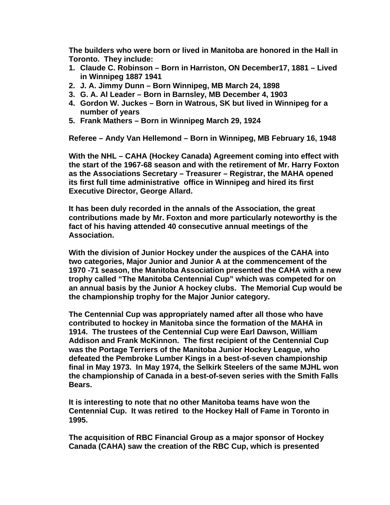**The builders who were born or lived in Manitoba are honored in the Hall in Toronto. They include:** 

- **1. Claude C. Robinson Born in Harriston, ON December17, 1881 Lived in Winnipeg 1887 1941**
- **2. J. A. Jimmy Dunn Born Winnipeg, MB March 24, 1898**
- **3. G. A. Al Leader Born in Barnsley, MB December 4, 1903**
- **4. Gordon W. Juckes Born in Watrous, SK but lived in Winnipeg for a number of years**
- **5. Frank Mathers Born in Winnipeg March 29, 1924**

**Referee – Andy Van Hellemond – Born in Winnipeg, MB February 16, 1948** 

**With the NHL – CAHA (Hockey Canada) Agreement coming into effect with the start of the 1967-68 season and with the retirement of Mr. Harry Foxton as the Associations Secretary – Treasurer – Registrar, the MAHA opened its first full time administrative office in Winnipeg and hired its first Executive Director, George Allard.** 

**It has been duly recorded in the annals of the Association, the great contributions made by Mr. Foxton and more particularly noteworthy is the fact of his having attended 40 consecutive annual meetings of the Association.** 

**With the division of Junior Hockey under the auspices of the CAHA into two categories, Major Junior and Junior A at the commencement of the 1970 -71 season, the Manitoba Association presented the CAHA with a new trophy called "The Manitoba Centennial Cup" which was competed for on an annual basis by the Junior A hockey clubs. The Memorial Cup would be the championship trophy for the Major Junior category.** 

**The Centennial Cup was appropriately named after all those who have contributed to hockey in Manitoba since the formation of the MAHA in 1914. The trustees of the Centennial Cup were Earl Dawson, William Addison and Frank McKinnon. The first recipient of the Centennial Cup was the Portage Terriers of the Manitoba Junior Hockey League, who defeated the Pembroke Lumber Kings in a best-of-seven championship final in May 1973. In May 1974, the Selkirk Steelers of the same MJHL won the championship of Canada in a best-of-seven series with the Smith Falls Bears.** 

**It is interesting to note that no other Manitoba teams have won the Centennial Cup. It was retired to the Hockey Hall of Fame in Toronto in 1995.** 

**The acquisition of RBC Financial Group as a major sponsor of Hockey Canada (CAHA) saw the creation of the RBC Cup, which is presented**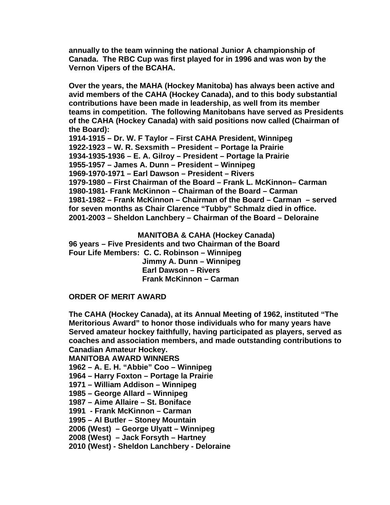**annually to the team winning the national Junior A championship of Canada. The RBC Cup was first played for in 1996 and was won by the Vernon Vipers of the BCAHA.** 

**Over the years, the MAHA (Hockey Manitoba) has always been active and avid members of the CAHA (Hockey Canada), and to this body substantial contributions have been made in leadership, as well from its member teams in competition. The following Manitobans have served as Presidents of the CAHA (Hockey Canada) with said positions now called (Chairman of the Board):** 

**1914-1915 – Dr. W. F Taylor – First CAHA President, Winnipeg 1922-1923 – W. R. Sexsmith – President – Portage la Prairie 1934-1935-1936 – E. A. Gilroy – President – Portage la Prairie 1955-1957 – James A. Dunn – President – Winnipeg 1969-1970-1971 – Earl Dawson – President – Rivers 1979-1980 – First Chairman of the Board – Frank L. McKinnon– Carman 1980-1981- Frank McKinnon – Chairman of the Board – Carman 1981-1982 – Frank McKinnon – Chairman of the Board – Carman – served for seven months as Chair Clarence "Tubby" Schmalz died in office. 2001-2003 – Sheldon Lanchbery – Chairman of the Board – Deloraine** 

**MANITOBA & CAHA (Hockey Canada)** 

**96 years – Five Presidents and two Chairman of the Board Four Life Members: C. C. Robinson – Winnipeg Jimmy A. Dunn – Winnipeg Earl Dawson – Rivers Frank McKinnon – Carman** 

**ORDER OF MERIT AWARD** 

**The CAHA (Hockey Canada), at its Annual Meeting of 1962, instituted "The Meritorious Award" to honor those individuals who for many years have Served amateur hockey faithfully, having participated as players, served as coaches and association members, and made outstanding contributions to Canadian Amateur Hockey.** 

**MANITOBA AWARD WINNERS** 

**1962 – A. E. H. "Abbie" Coo – Winnipeg** 

**1964 – Harry Foxton – Portage la Prairie** 

**1971 – William Addison – Winnipeg** 

- **1985 George Allard Winnipeg**
- **1987 Aime Allaire St. Boniface**
- **1991 Frank McKinnon Carman**
- **1995 Al Butler Stoney Mountain**

**2006 (West) – George Ulyatt – Winnipeg** 

**2008 (West) – Jack Forsyth – Hartney** 

**2010 (West) - Sheldon Lanchbery - Deloraine**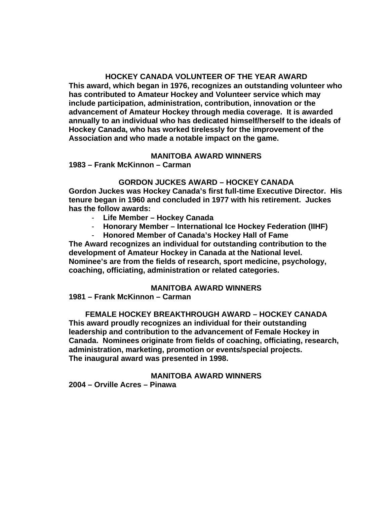## **HOCKEY CANADA VOLUNTEER OF THE YEAR AWARD**

**This award, which began in 1976, recognizes an outstanding volunteer who has contributed to Amateur Hockey and Volunteer service which may include participation, administration, contribution, innovation or the advancement of Amateur Hockey through media coverage. It is awarded annually to an individual who has dedicated himself/herself to the ideals of Hockey Canada, who has worked tirelessly for the improvement of the Association and who made a notable impact on the game.** 

#### **MANITOBA AWARD WINNERS**

**1983 – Frank McKinnon – Carman** 

#### **GORDON JUCKES AWARD – HOCKEY CANADA**

**Gordon Juckes was Hockey Canada's first full-time Executive Director. His tenure began in 1960 and concluded in 1977 with his retirement. Juckes has the follow awards:** 

- **Life Member Hockey Canada**
- **Honorary Member International Ice Hockey Federation (IIHF)**
- **Honored Member of Canada's Hockey Hall of Fame**

**The Award recognizes an individual for outstanding contribution to the development of Amateur Hockey in Canada at the National level. Nominee's are from the fields of research, sport medicine, psychology, coaching, officiating, administration or related categories.** 

#### **MANITOBA AWARD WINNERS**

**1981 – Frank McKinnon – Carman** 

**FEMALE HOCKEY BREAKTHROUGH AWARD – HOCKEY CANADA This award proudly recognizes an individual for their outstanding leadership and contribution to the advancement of Female Hockey in Canada. Nominees originate from fields of coaching, officiating, research, administration, marketing, promotion or events/special projects. The inaugural award was presented in 1998.** 

# **MANITOBA AWARD WINNERS**

**2004 – Orville Acres – Pinawa**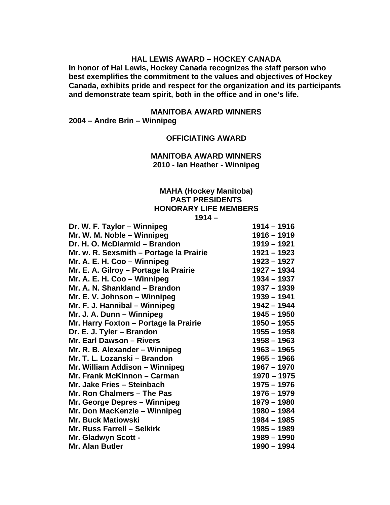# **HAL LEWIS AWARD – HOCKEY CANADA**

**In honor of Hal Lewis, Hockey Canada recognizes the staff person who best exemplifies the commitment to the values and objectives of Hockey Canada, exhibits pride and respect for the organization and its participants and demonstrate team spirit, both in the office and in one's life.** 

**MANITOBA AWARD WINNERS 2004 – Andre Brin – Winnipeg** 

**OFFICIATING AWARD** 

**MANITOBA AWARD WINNERS 2010 - Ian Heather - Winnipeg** 

# **MAHA (Hockey Manitoba) PAST PRESIDENTS HONORARY LIFE MEMBERS**

**1914 –** 

| Dr. W. F. Taylor - Winnipeg             | $1914 - 1916$ |
|-----------------------------------------|---------------|
| Mr. W. M. Noble - Winnipeg              | $1916 - 1919$ |
| Dr. H. O. McDiarmid - Brandon           | 1919 - 1921   |
| Mr. w. R. Sexsmith - Portage la Prairie | $1921 - 1923$ |
| Mr. A. E. H. Coo - Winnipeg             | $1923 - 1927$ |
| Mr. E. A. Gilroy - Portage la Prairie   | $1927 - 1934$ |
| Mr. A. E. H. Coo - Winnipeg             | $1934 - 1937$ |
| Mr. A. N. Shankland - Brandon           | 1937 - 1939   |
| Mr. E. V. Johnson - Winnipeg            | $1939 - 1941$ |
| Mr. F. J. Hannibal - Winnipeg           | $1942 - 1944$ |
| Mr. J. A. Dunn - Winnipeg               | $1945 - 1950$ |
| Mr. Harry Foxton - Portage la Prairie   | $1950 - 1955$ |
| Dr. E. J. Tyler - Brandon               | $1955 - 1958$ |
| Mr. Earl Dawson - Rivers                | $1958 - 1963$ |
| Mr. R. B. Alexander - Winnipeg          | $1963 - 1965$ |
| Mr. T. L. Lozanski - Brandon            | $1965 - 1966$ |
| Mr. William Addison - Winnipeg          | 1967 - 1970   |
| Mr. Frank McKinnon – Carman             | $1970 - 1975$ |
| Mr. Jake Fries - Steinbach              | $1975 - 1976$ |
| Mr. Ron Chalmers - The Pas              | $1976 - 1979$ |
| Mr. George Depres - Winnipeg            | 1979 - 1980   |
| Mr. Don MacKenzie - Winnipeg            | 1980 - 1984   |
| <b>Mr. Buck Matiowski</b>               | 1984 - 1985   |
| Mr. Russ Farrell - Selkirk              | 1985 - 1989   |
| Mr. Gladwyn Scott -                     | 1989 - 1990   |
| Mr. Alan Butler                         | 1990 - 1994   |